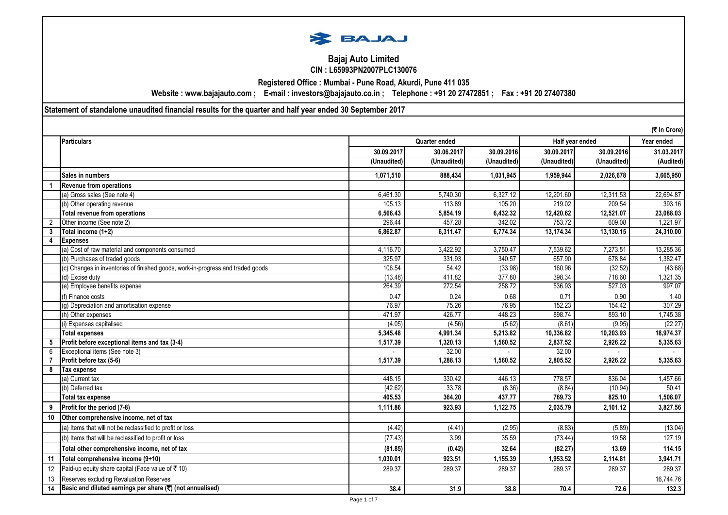

### **Bajaj Auto Limited CIN : L65993PN2007PLC130076**

**Registered Office : Mumbai - Pune Road, Akurdi, Pune 411 035**

**Website : www.bajajauto.com ; E-mail : investors@bajajauto.co.in ; Telephone : +91 20 27472851 ; Fax : +91 20 27407380**

**Statement of standalone unaudited financial results for the quarter and half year ended 30 September 2017**

|                | (₹ In Crore)                                                                    |             |               |             |             |                 |            |
|----------------|---------------------------------------------------------------------------------|-------------|---------------|-------------|-------------|-----------------|------------|
|                | <b>Particulars</b>                                                              |             | Quarter ended |             |             | Half year ended | Year ended |
|                |                                                                                 | 30.09.2017  | 30.06.2017    | 30.09.2016  | 30.09.2017  | 30.09.2016      | 31.03.2017 |
|                |                                                                                 | (Unaudited) | (Unaudited)   | (Unaudited) | (Unaudited) | (Unaudited)     | (Audited)  |
|                | Sales in numbers                                                                | 1,071,510   | 888.434       | 1.031.945   | 1.959.944   | 2.026.678       | 3.665.950  |
|                | Revenue from operations                                                         |             |               |             |             |                 |            |
|                | (a) Gross sales (See note 4)                                                    | 6,461.30    | 5,740.30      | 6,327.12    | 12,201.60   | 12,311.53       | 22,694.87  |
|                | (b) Other operating revenue                                                     | 105.13      | 113.89        | 105.20      | 219.02      | 209.54          | 393.16     |
|                | Total revenue from operations                                                   | 6,566.43    | 5,854.19      | 6,432.32    | 12,420.62   | 12,521.07       | 23,088.03  |
| $\overline{2}$ | Other income (See note 2)                                                       | 296.44      | 457.28        | 342.02      | 753.72      | 609.08          | 1,221.97   |
| 3              | Total income (1+2)                                                              | 6,862.87    | 6,311.47      | 6,774.34    | 13,174.34   | 13,130.15       | 24,310.00  |
| 4              | <b>Expenses</b>                                                                 |             |               |             |             |                 |            |
|                | (a) Cost of raw material and components consumed                                | 4,116.70    | 3,422.92      | 3,750.47    | 7,539.62    | 7,273.51        | 13,285.36  |
|                | (b) Purchases of traded goods                                                   | 325.97      | 331.93        | 340.57      | 657.90      | 678.84          | 1,382.47   |
|                | (c) Changes in inventories of finished goods, work-in-progress and traded goods | 106.54      | 54.42         | (33.98)     | 160.96      | (32.52)         | (43.68)    |
|                | (d) Excise duty                                                                 | (13.48)     | 411.82        | 377.80      | 398.34      | 718.60          | 1,321.35   |
|                | (e) Employee benefits expense                                                   | 264.39      | 272.54        | 258.72      | 536.93      | 527.03          | 997.07     |
|                | (f) Finance costs                                                               | 0.47        | 0.24          | 0.68        | 0.71        | 0.90            | 1.40       |
|                | (g) Depreciation and amortisation expense                                       | 76.97       | 75.26         | 76.95       | 152.23      | 154.42          | 307.29     |
|                | (h) Other expenses                                                              | 471.97      | 426.77        | 448.23      | 898.74      | 893.10          | 1,745.38   |
|                | i) Expenses capitalised                                                         | (4.05)      | (4.56)        | (5.62)      | (8.61)      | (9.95)          | (22.27)    |
|                | <b>Total expenses</b>                                                           | 5,345.48    | 4,991.34      | 5,213.82    | 10,336.82   | 10,203.93       | 18,974.37  |
| 5              | Profit before exceptional items and tax (3-4)                                   | 1,517.39    | 1,320.13      | 1,560.52    | 2,837.52    | 2,926.22        | 5,335.63   |
| 6              | Exceptional items (See note 3)                                                  |             | 32.00         |             | 32.00       |                 |            |
|                | Profit before tax (5-6)                                                         | 1,517.39    | 1,288.13      | 1,560.52    | 2,805.52    | 2,926.22        | 5,335.63   |
| 8              | Tax expense                                                                     |             |               |             |             |                 |            |
|                | (a) Current tax                                                                 | 448.15      | 330.42        | 446.13      | 778.57      | 836.04          | 1,457.66   |
|                | (b) Deferred tax                                                                | (42.62)     | 33.78         | (8.36)      | (8.84)      | (10.94)         | 50.41      |
|                | <b>Total tax expense</b>                                                        | 405.53      | 364.20        | 437.77      | 769.73      | 825.10          | 1,508.07   |
| 9              | Profit for the period (7-8)                                                     | 1,111.86    | 923.93        | 1,122.75    | 2,035.79    | 2,101.12        | 3,827.56   |
| 10             | Other comprehensive income, net of tax                                          |             |               |             |             |                 |            |
|                | (a) Items that will not be reclassified to profit or loss                       | (4.42)      | (4.41)        | (2.95)      | (8.83)      | (5.89)          | (13.04)    |
|                | (b) Items that will be reclassified to profit or loss                           | (77.43)     | 3.99          | 35.59       | (73.44)     | 19.58           | 127.19     |
|                | Total other comprehensive income, net of tax                                    | (81.85)     | (0.42)        | 32.64       | (82.27)     | 13.69           | 114.15     |
| 11             | Total comprehensive income (9+10)                                               | 1,030.01    | 923.51        | 1,155.39    | 1,953.52    | 2,114.81        | 3,941.71   |
| 12             | Paid-up equity share capital (Face value of ₹10)                                | 289.37      | 289.37        | 289.37      | 289.37      | 289.37          | 289.37     |
| 13             | Reserves excluding Revaluation Reserves                                         |             |               |             |             |                 | 16.744.76  |
| 14             | Basic and diluted earnings per share (₹) (not annualised)                       | 38.4        | 31.9          | 38.8        | 70.4        | 72.6            | 132.3      |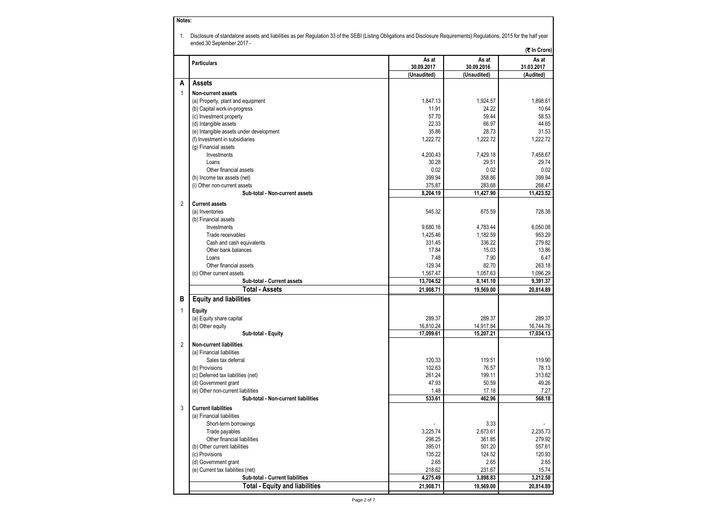|                | ended 30 September 2017 -                               |                  |                  | Disclosure of standalone assets and liabilities as per Regulation 33 of the SEBI (Listing Obligations and Disclosure Requirements) Regulations, 2015 for the half year |
|----------------|---------------------------------------------------------|------------------|------------------|------------------------------------------------------------------------------------------------------------------------------------------------------------------------|
|                |                                                         |                  |                  | (そ In Crore)                                                                                                                                                           |
|                | <b>Particulars</b>                                      | As at            | As at            | As at                                                                                                                                                                  |
|                |                                                         | 30.09.2017       | 30.09.2016       | 31.03.2017                                                                                                                                                             |
|                |                                                         | (Unaudited)      | (Unaudited)      | (Audited)                                                                                                                                                              |
| А              | <b>Assets</b>                                           |                  |                  |                                                                                                                                                                        |
| $\mathbf{1}$   | Non-current assets                                      |                  |                  |                                                                                                                                                                        |
|                | (a) Property, plant and equipment                       | 1,847.13         | 1,924.57         | 1.898.61                                                                                                                                                               |
|                | (b) Capital work-in-progress<br>(c) Investment property | 11.91<br>57.70   | 24.22<br>59.44   | 10.64<br>58.53                                                                                                                                                         |
|                | (d) Intangible assets                                   | 22.33            | 66.97            | 44.65                                                                                                                                                                  |
|                | (e) Intangible assets under development                 | 35.86            | 28.73            | 31.53                                                                                                                                                                  |
|                | (f) Investment in subsidiaries                          | 1,222.72         | 1,222.72         | 1,222.72                                                                                                                                                               |
|                | (g) Financial assets                                    |                  |                  |                                                                                                                                                                        |
|                | Investments                                             | 4,200.43         | 7,429.18         | 7,458.67                                                                                                                                                               |
|                | Loans                                                   | 30.28            | 29.51            | 29.74                                                                                                                                                                  |
|                | Other financial assets                                  | 0.02             | 0.02             | 0.02                                                                                                                                                                   |
|                | (h) Income tax assets (net)                             | 399.94           | 358.86           | 399.94                                                                                                                                                                 |
|                | (i) Other non-current assets                            | 375.87           | 283.68           | 268.47                                                                                                                                                                 |
|                | Sub-total - Non-current assets                          | 8,204.19         | 11,427.90        | 11,423.52                                                                                                                                                              |
| $\overline{2}$ | <b>Current assets</b>                                   |                  |                  |                                                                                                                                                                        |
|                | (a) Inventories                                         | 545.32           | 675.59           | 728.38                                                                                                                                                                 |
|                | (b) Financial assets                                    |                  |                  |                                                                                                                                                                        |
|                | Investments                                             | 9,680.16         | 4,783.44         | 6,050.08                                                                                                                                                               |
|                | Trade receivables                                       | 1,425.46         | 1,182.59         | 953.29                                                                                                                                                                 |
|                | Cash and cash equivalents                               | 331.45           | 336.22           | 279.82                                                                                                                                                                 |
|                | Other bank balances                                     | 17.84            | 15.03            | 13.86                                                                                                                                                                  |
|                | Loans                                                   | 7.48             | 7.90             | 6.47                                                                                                                                                                   |
|                | Other financial assets                                  | 129.34           | 82.70            | 263.18                                                                                                                                                                 |
|                | (c) Other current assets                                | 1,567.47         | 1,057.63         | 1,096.29                                                                                                                                                               |
|                | Sub-total - Current assets                              | 13,704.52        | 8,141.10         | 9,391.37                                                                                                                                                               |
|                | <b>Total - Assets</b>                                   | 21,908.71        | 19,569.00        | 20,814.89                                                                                                                                                              |
| в              | <b>Equity and liabilities</b>                           |                  |                  |                                                                                                                                                                        |
| $\mathbf{1}$   | <b>Equity</b>                                           |                  |                  |                                                                                                                                                                        |
|                | (a) Equity share capital                                | 289.37           | 289.37           | 289.37                                                                                                                                                                 |
|                | (b) Other equity                                        | 16,810.24        | 14,917.84        | 16,744.76                                                                                                                                                              |
|                | Sub-total - Equity                                      | 17,099.61        | 15,207.21        | 17,034.13                                                                                                                                                              |
| $\overline{2}$ | <b>Non-current liabilities</b>                          |                  |                  |                                                                                                                                                                        |
|                | (a) Financial liabilities                               |                  |                  |                                                                                                                                                                        |
|                | Sales tax deferral                                      | 120.33           | 119.51           | 119.90                                                                                                                                                                 |
|                | (b) Provisions                                          | 102.63           | 76.57            | 78.13                                                                                                                                                                  |
|                | (c) Deferred tax liabilities (net)                      | 261.24           | 199.11           | 313.62                                                                                                                                                                 |
|                | (d) Government grant                                    | 47.93            | 50.59            | 49.26                                                                                                                                                                  |
|                | (e) Other non-current liabilities                       | 1.48             | 17.18            | 7.27                                                                                                                                                                   |
|                | Sub-total - Non-current liabilities                     | 533.61           | 462.96           | 568.18                                                                                                                                                                 |
| 3              | <b>Current liabilities</b>                              |                  |                  |                                                                                                                                                                        |
|                | (a) Financial liabilities                               |                  |                  |                                                                                                                                                                        |
|                | Short-term borrowings                                   |                  | 3.33             |                                                                                                                                                                        |
|                | Trade payables<br>Other financial liabilities           | 3,225.74         | 2,673.61         | 2,235.73                                                                                                                                                               |
|                | (b) Other current liabilities                           | 298.25<br>395.01 | 361.85<br>501.20 | 279.92<br>557.61                                                                                                                                                       |
|                | (c) Provisions                                          | 135.22           | 124.52           | 120.93                                                                                                                                                                 |
|                | (d) Government grant                                    | 2.65             | 2.65             | 2.65                                                                                                                                                                   |
|                | (e) Current tax liabilities (net)                       | 218.62           | 231.67           | 15.74                                                                                                                                                                  |
|                | Sub-total - Current liabilities                         | 4,275.49         | 3,898.83         | 3,212.58                                                                                                                                                               |
|                |                                                         |                  |                  |                                                                                                                                                                        |

 $\mathbf{I}$ 

**Notes:**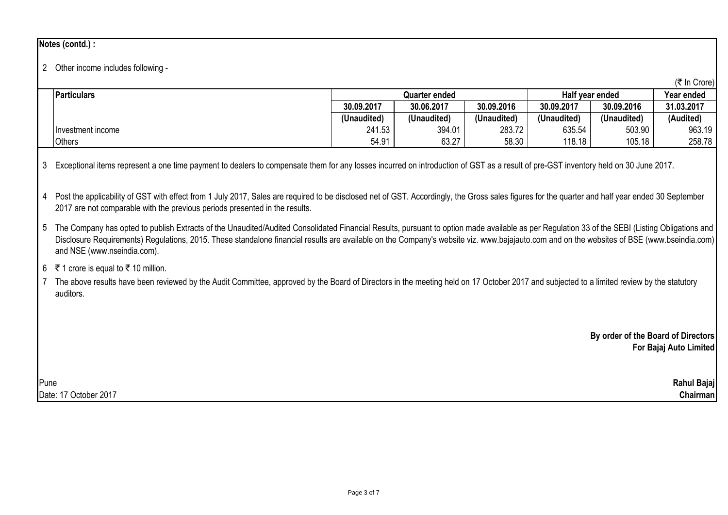# **Notes (contd.) :**

# 2 Other income includes following -

|                    |               |             |             |                 |             | (₹ In Crore) |
|--------------------|---------------|-------------|-------------|-----------------|-------------|--------------|
| <b>Particulars</b> | Quarter ended |             |             | Half vear ended | Year ended  |              |
|                    | 30.09.2017    | 30.06.2017  | 30.09.2016  | 30.09.2017      | 30.09.2016  | 31.03.2017   |
|                    | (Unaudited)   | (Unaudited) | (Unaudited) | (Unaudited)     | (Unaudited) | (Audited)    |
| Investment income  | 241.53        | 394.01      | 283.72      | 635.54          | 503.90      | 963.19       |
| <b>Others</b>      | 54.91         | 63.27       | 58.30       | 118.18          | 105.18      | 258.78       |

3 Exceptional items represent a one time payment to dealers to compensate them for any losses incurred on introduction of GST as a result of pre-GST inventory held on 30 June 2017.

4 Post the applicability of GST with effect from 1 July 2017, Sales are required to be disclosed net of GST. Accordingly, the Gross sales figures for the quarter and half year ended 30 September 2017 are not comparable with the previous periods presented in the results.

5 The Company has opted to publish Extracts of the Unaudited/Audited Consolidated Financial Results, pursuant to option made available as per Regulation 33 of the SEBI (Listing Obligations and Disclosure Requirements) Requiations, 2015. These standalone financial results are available on the Company's website viz. www.bajajauto.com and on the websites of BSE (www.bseindia.com) and NSE (www.nseindia.com).

# 6 ₹ 1 crore is equal to ₹ 10 million.

7 The above results have been reviewed by the Audit Committee, approved by the Board of Directors in the meeting held on 17 October 2017 and subjected to a limited review by the statutory auditors.

> **By order of the Board of Directors For Bajaj Auto Limited**

Pune **Rahul Bajaj** Date: 17 October 2017 **Chairman**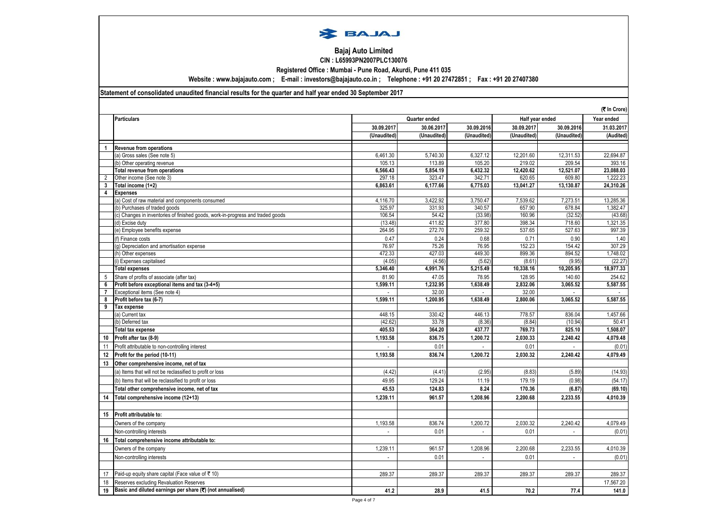

#### **Bajaj Auto Limited CIN : L65993PN2007PLC130076**

**Registered Office : Mumbai - Pune Road, Akurdi, Pune 411 035**

**Website : www.bajajauto.com ; E-mail : investors@bajajauto.co.in ; Telephone : +91 20 27472851 ; Fax : +91 20 27407380**

#### **Statement of consolidated unaudited financial results for the quarter and half year ended 30 September 2017**

|                |                                                                                |             |               |             |             | (そ In Crore)    |            |
|----------------|--------------------------------------------------------------------------------|-------------|---------------|-------------|-------------|-----------------|------------|
|                | <b>Particulars</b>                                                             |             | Quarter ended |             |             | Half year ended | Year ended |
|                |                                                                                | 30.09.2017  | 30.06.2017    | 30.09.2016  | 30.09.201   | 30.09.2016      | 31.03.2017 |
|                |                                                                                | (Unaudited) | (Unaudited)   | (Unaudited) | (Unaudited) | (Unaudited)     | (Audited)  |
| $\mathbf{1}$   | <b>Revenue from operations</b>                                                 |             |               |             |             |                 |            |
|                | (a) Gross sales (See note 5)                                                   | 6,461.30    | 5,740.30      | 6,327.12    | 12,201.60   | 12,311.53       | 22,694.87  |
|                | (b) Other operating revenue                                                    | 105.13      | 113.89        | 105.20      | 219.02      | 209.54          | 393.16     |
|                | <b>Total revenue from operations</b>                                           | 6.566.43    | 5.854.19      | 6.432.32    | 12.420.62   | 12.521.07       | 23.088.03  |
| $\overline{2}$ | Other income (See note 3)                                                      | 297.18      | 323.47        | 342.71      | 620.65      | 609.80          | 1,222.23   |
| 3              | Total income (1+2)                                                             | 6,863.61    | 6,177.66      | 6,775.03    | 13,041.27   | 13,130.87       | 24,310.26  |
| 4              | <b>Expenses</b>                                                                |             |               |             |             |                 |            |
|                | (a) Cost of raw material and components consumed                               | 4,116.70    | 3,422.92      | 3,750.47    | 7,539.62    | 7,273.51        | 13,285.36  |
|                | b) Purchases of traded goods                                                   | 325.97      | 331.93        | 340.57      | 657.90      | 678.84          | 1,382.47   |
|                | c) Changes in inventories of finished goods, work-in-progress and traded goods | 106.54      | 54.42         | (33.98)     | 160.96      | (32.52)         | (43.68)    |
|                | (d) Excise duty                                                                | (13.48)     | 411.82        | 377.80      | 398.34      | 718.60          | 1,321.35   |
|                | e) Employee benefits expense                                                   | 264.95      | 272.70        | 259.32      | 537.65      | 527.63          | 997.39     |
|                | f) Finance costs                                                               | 0.47        | 0.24          | 0.68        | 0.71        | 0.90            | 1.40       |
|                | g) Depreciation and amortisation expense                                       | 76.97       | 75.26         | 76.95       | 152.23      | 154.42          | 307.29     |
|                | (h) Other expenses                                                             | 472.33      | 427.03        | 449.30      | 899.36      | 894.52          | 1,748.02   |
|                | i) Expenses capitalised                                                        | (4.05)      | (4.56)        | (5.62)      | (8.61)      | (9.95)          | (22.27)    |
|                | <b>Total expenses</b>                                                          | 5,346.40    | 4,991.76      | 5,215.49    | 10,338.16   | 10,205.95       | 18,977.33  |
| 5              | Share of profits of associate (after tax)                                      | 81.90       | 47.05         | 78.95       | 128.95      | 140.60          | 254.62     |
| 6              | Profit before exceptional items and tax (3-4+5)                                | 1,599.11    | 1,232.95      | 1,638.49    | 2,832.06    | 3,065.52        | 5,587.55   |
| $\overline{7}$ | Exceptional items (See note 4)                                                 |             | 32.00         | $\sim$      | 32.00       |                 |            |
| 8              | Profit before tax (6-7)                                                        | 1,599.11    | 1,200.95      | 1,638.49    | 2,800.06    | 3,065.52        | 5,587.55   |
| 9              | Tax expense                                                                    |             |               |             |             |                 |            |
|                | a) Current tax                                                                 | 448.15      | 330.42        | 446.13      | 778.57      | 836.04          | 1,457.66   |
|                | (b) Deferred tax                                                               | (42.62)     | 33.78         | (8.36)      | (8.84)      | (10.94)         | 50.41      |
|                | <b>Total tax expense</b>                                                       | 405.53      | 364.20        | 437.77      | 769.73      | 825.10          | 1,508.07   |
| 10             | Profit after tax (8-9)                                                         | 1,193.58    | 836.75        | 1.200.72    | 2,030.33    | 2,240.42        | 4,079.48   |
| 11             | Profit attributable to non-controlling interest                                |             | 0.01          | $\sim$      | 0.01        |                 | (0.01)     |
| 12             | Profit for the period (10-11)                                                  | 1,193.58    | 836.74        | 1.200.72    | 2.030.32    | 2.240.42        | 4,079.49   |
| 13             | Other comprehensive income, net of tax                                         |             |               |             |             |                 |            |
|                | (a) Items that will not be reclassified to profit or loss                      | (4.42)      | (4.41)        | (2.95)      | (8.83)      | (5.89)          | (14.93)    |
|                | b) Items that will be reclassified to profit or loss                           | 49.95       | 129.24        | 11.19       | 179.19      | (0.98)          | (54.17)    |
|                | Total other comprehensive income, net of tax                                   | 45.53       | 124.83        | 8.24        | 170.36      | (6.87)          | (69.10)    |
| 14             | Total comprehensive income (12+13)                                             | 1,239.11    | 961.57        | 1,208.96    | 2,200.68    | 2,233.55        | 4,010.39   |
|                |                                                                                |             |               |             |             |                 |            |
|                |                                                                                |             |               |             |             |                 |            |
| 15             | Profit attributable to:                                                        |             |               |             |             |                 |            |
|                | Owners of the company                                                          | 1,193.58    | 836.74        | 1,200.72    | 2,030.32    | 2,240.42        | 4,079.49   |
|                | Non-controlling interests                                                      |             | 0.01          |             | 0.01        |                 | (0.01)     |
| 16             | Total comprehensive income attributable to:                                    |             |               |             |             |                 |            |
|                | Owners of the company                                                          | 1,239.11    | 961.57        | 1,208.96    | 2,200.68    | 2,233.55        | 4,010.39   |
|                | Non-controlling interests                                                      |             | 0.01          |             | 0.01        |                 | (0.01)     |
|                |                                                                                |             |               |             |             |                 |            |
| 17             | Paid-up equity share capital (Face value of ₹10)                               | 289.37      | 289.37        | 289.37      | 289.37      | 289.37          | 289.37     |
| 18             | Reserves excluding Revaluation Reserves                                        |             |               |             |             |                 | 17,567.20  |
| 19             | Basic and diluted earnings per share (₹) (not annualised)                      | 41.2        | 28.9          | 41.5        | 70.2        | 77.4            | 141.0      |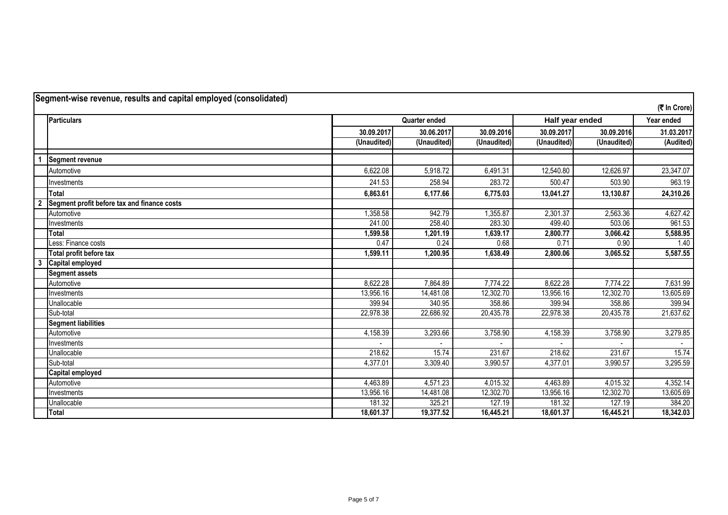|                | Segment-wise revenue, results and capital employed (consolidated) |             |               |             |                 |             | (そ In Crore) |
|----------------|-------------------------------------------------------------------|-------------|---------------|-------------|-----------------|-------------|--------------|
|                | <b>Particulars</b>                                                |             | Quarter ended |             | Half year ended |             | Year ended   |
|                |                                                                   | 30.09.2017  | 30.06.2017    | 30.09.2016  | 30.09.2017      | 30.09.2016  | 31.03.2017   |
|                |                                                                   | (Unaudited) | (Unaudited)   | (Unaudited) | (Unaudited)     | (Unaudited) | (Audited)    |
|                | <b>Segment revenue</b>                                            |             |               |             |                 |             |              |
|                | Automotive                                                        | 6,622.08    | 5,918.72      | 6,491.31    | 12,540.80       | 12,626.97   | 23,347.07    |
|                | Investments                                                       | 241.53      | 258.94        | 283.72      | 500.47          | 503.90      | 963.19       |
|                | <b>Total</b>                                                      | 6,863.61    | 6,177.66      | 6,775.03    | 13,041.27       | 13,130.87   | 24,310.26    |
| $\overline{2}$ | Segment profit before tax and finance costs                       |             |               |             |                 |             |              |
|                | Automotive                                                        | 1,358.58    | 942.79        | .355.87     | 2,301.37        | 2,563.36    | 4,627.42     |
|                | Investments                                                       | 241.00      | 258.40        | 283.30      | 499.40          | 503.06      | 961.53       |
|                | Total                                                             | 1,599.58    | 1,201.19      | 1,639.17    | 2,800.77        | 3,066.42    | 5,588.95     |
|                | Less: Finance costs                                               | 0.47        | 0.24          | 0.68        | 0.71            | 0.90        | 1.40         |
|                | Total profit before tax                                           | 1,599.11    | 1,200.95      | 1,638.49    | 2,800.06        | 3,065.52    | 5,587.55     |
| 3              | <b>Capital employed</b>                                           |             |               |             |                 |             |              |
|                | <b>Segment assets</b>                                             |             |               |             |                 |             |              |
|                | Automotive                                                        | 8,622.28    | 7,864.89      | 7,774.22    | 8,622.28        | 7,774.22    | 7,631.99     |
|                | Investments                                                       | 13,956.16   | 14,481.08     | 12,302.70   | 13,956.16       | 12,302.70   | 13,605.69    |
|                | Unallocable                                                       | 399.94      | 340.95        | 358.86      | 399.94          | 358.86      | 399.94       |
|                | Sub-total                                                         | 22,978.38   | 22,686.92     | 20,435.78   | 22,978.38       | 20,435.78   | 21,637.62    |
|                | <b>Segment liabilities</b>                                        |             |               |             |                 |             |              |
|                | Automotive                                                        | 4,158.39    | 3,293.66      | 3,758.90    | 4,158.39        | 3,758.90    | 3,279.85     |
|                | Investments                                                       |             |               |             |                 |             |              |
|                | Unallocable                                                       | 218.62      | 15.74         | 231.67      | 218.62          | 231.67      | 15.74        |
|                | Sub-total                                                         | 4,377.01    | 3,309.40      | 3,990.57    | 4,377.01        | 3,990.57    | 3,295.59     |
|                | <b>Capital employed</b>                                           |             |               |             |                 |             |              |
|                | Automotive                                                        | 4,463.89    | 4,571.23      | 4,015.32    | 4,463.89        | 4,015.32    | 4,352.14     |
|                | Investments                                                       | 13,956.16   | 14,481.08     | 12,302.70   | 13,956.16       | 12,302.70   | 13,605.69    |
|                | Unallocable                                                       | 181.32      | 325.21        | 127.19      | 181.32          | 127.19      | 384.20       |
|                | Total                                                             | 18,601.37   | 19,377.52     | 16,445.21   | 18,601.37       | 16,445.21   | 18,342.03    |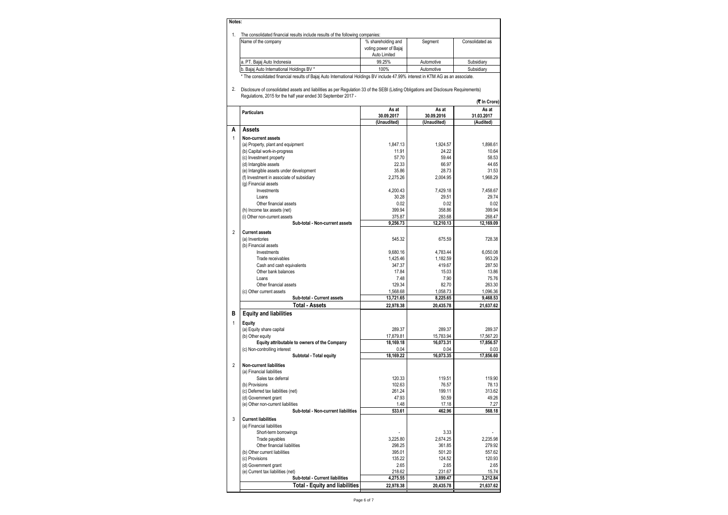| Notes: |                                                                                |                                                             |            |                 |  |  |  |  |  |
|--------|--------------------------------------------------------------------------------|-------------------------------------------------------------|------------|-----------------|--|--|--|--|--|
|        | The consolidated financial results include results of the following companies: |                                                             |            |                 |  |  |  |  |  |
|        | Name of the company                                                            | % shareholding and<br>voting power of Bajaj<br>Auto Limited | Segment    | Consolidated as |  |  |  |  |  |
|        | a. PT. Bajaj Auto Indonesia                                                    | 99.25%                                                      | Automotive | Subsidiarv      |  |  |  |  |  |

b. Bajaj Auto International Holdings BV \* 100% Automotive Nubsidiary \* The consolidated financial results of Bajaj Auto International Holdings BV include 47.99% interest in KTM AG as an associate.

2. Disclosure of consolidated assets and liabilities as per Regulation 33 of the SEBI (Listing Obligations and Disclosure Requirements) Regulations, 2015 for the half year ended 30 September 2017 -

|                | $\alpha$ and $\beta$ , $\alpha$ is in the fight year ended so september zo in        |                |                | (₹ In Crore)   |
|----------------|--------------------------------------------------------------------------------------|----------------|----------------|----------------|
|                | <b>Particulars</b>                                                                   | As at          | As at          | As at          |
|                |                                                                                      | 30.09.2017     | 30.09.2016     | 31.03.2017     |
|                |                                                                                      | (Unaudited)    | (Unaudited)    | (Audited)      |
| Α              | <b>Assets</b>                                                                        |                |                |                |
| 1              | Non-current assets                                                                   |                |                |                |
|                | (a) Property, plant and equipment                                                    | 1.847.13       | 1.924.57       | 1,898.61       |
|                | (b) Capital work-in-progress                                                         | 11.91          | 24.22          | 10.64          |
|                | (c) Investment property                                                              | 57.70          | 59.44          | 58.53          |
|                | (d) Intangible assets                                                                | 22.33<br>35.86 | 66.97<br>28.73 | 44.65<br>31.53 |
|                | (e) Intangible assets under development<br>(f) Investment in associate of subsidiary | 2,275.26       | 2,004.95       | 1,968.29       |
|                | (g) Financial assets                                                                 |                |                |                |
|                | Investments                                                                          | 4.200.43       | 7,429.18       | 7,458.67       |
|                | Loans                                                                                | 30.28          | 29.51          | 29.74          |
|                | Other financial assets                                                               | 0.02           | 0.02           | 0.02           |
|                | (h) Income tax assets (net)                                                          | 399.94         | 358.86         | 399.94         |
|                | (i) Other non-current assets                                                         | 375.87         | 283.68         | 268.47         |
|                | Sub-total - Non-current assets                                                       | 9,256.73       | 12,210.13      | 12.169.09      |
| $\overline{2}$ | <b>Current assets</b>                                                                |                |                |                |
|                | (a) Inventories                                                                      | 545.32         | 675.59         | 728.38         |
|                | (b) Financial assets                                                                 |                |                |                |
|                | Investments                                                                          | 9.680.16       | 4.783.44       | 6.050.08       |
|                | Trade receivables                                                                    | 1,425.46       | 1,182.59       | 953.29         |
|                | Cash and cash equivalents                                                            | 347.37         | 419.67         | 287.50         |
|                | Other bank balances                                                                  | 17.84          | 15.03          | 13.86          |
|                | Loans                                                                                | 7.48           | 7.90           | 75.76          |
|                | Other financial assets                                                               | 129.34         | 82.70          | 263.30         |
|                | (c) Other current assets                                                             | 1,568.68       | 1,058.73       | 1,096.36       |
|                | Sub-total - Current assets                                                           | 13,721.65      | 8,225.65       | 9,468.53       |
|                | <b>Total - Assets</b>                                                                | 22,978.38      | 20,435.78      | 21,637.62      |
| B              | <b>Equity and liabilities</b>                                                        |                |                |                |
| 1              | Equity                                                                               |                |                |                |
|                | (a) Equity share capital                                                             | 289.37         | 289.37         | 289.37         |
|                | (b) Other equity                                                                     | 17,879.81      | 15,783.94      | 17,567.20      |
|                | Equity attributable to owners of the Company                                         | 18,169.18      | 16.073.31      | 17,856.57      |
|                | (c) Non-controlling interest                                                         | 0.04           | 0.04           | 0.03           |
|                | Subtotal - Total equity                                                              | 18.169.22      | 16.073.35      | 17.856.60      |
| $\overline{2}$ | <b>Non-current liabilities</b>                                                       |                |                |                |
|                | (a) Financial liabilities                                                            |                |                |                |
|                | Sales tax deferral                                                                   | 120.33         | 119.51         | 119.90         |
|                | (b) Provisions                                                                       | 102.63         | 76.57          | 78.13          |
|                | (c) Deferred tax liabilities (net)                                                   | 261.24         | 199.11         | 313.62         |
|                | (d) Government grant                                                                 | 47.93          | 50.59          | 49.26          |
|                | (e) Other non-current liabilities                                                    | 1.48           | 17.18          | 7.27           |
|                | Sub-total - Non-current liabilities                                                  | 533.61         | 462.96         | 568.18         |
| 3              | <b>Current liabilities</b>                                                           |                |                |                |
|                | (a) Financial liabilities                                                            |                |                |                |
|                | Short-term borrowings                                                                |                | 3.33           |                |
|                | Trade payables                                                                       | 3,225.80       | 2,674.25       | 2,235.98       |
|                | Other financial liabilities                                                          | 298.25         | 361.85         | 279.92         |
|                | (b) Other current liabilities                                                        | 395.01         | 501.20         | 557.62         |
|                | (c) Provisions                                                                       | 135.22         | 124.52         | 120.93         |
|                | (d) Government grant                                                                 | 2.65           | 2.65           | 2.65           |
|                | (e) Current tax liabilities (net)                                                    | 218.62         | 231.67         | 15.74          |
|                | Sub-total - Current liabilities                                                      | 4,275.55       | 3,899.47       | 3,212.84       |
|                | <b>Total - Equity and liabilities</b>                                                | 22,978.38      | 20,435.78      | 21,637.62      |